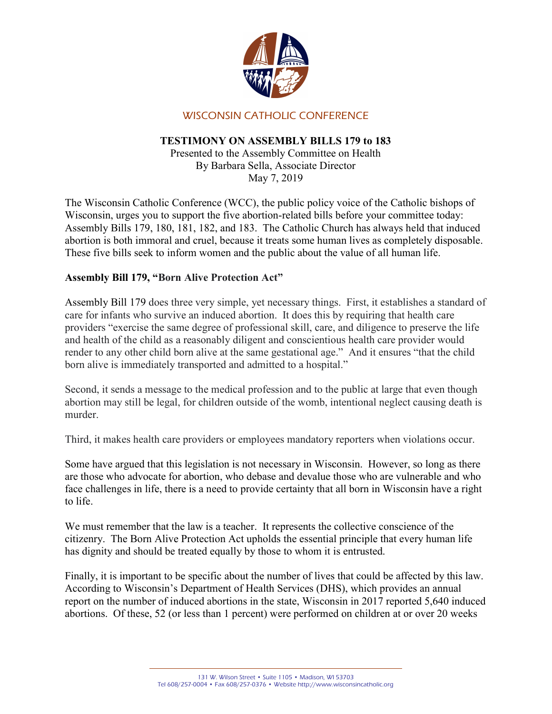

# WISCONSIN CATHOLIC CONFERENCE

## TESTIMONY ON ASSEMBLY BILLS 179 to 183

Presented to the Assembly Committee on Health By Barbara Sella, Associate Director May 7, 2019

The Wisconsin Catholic Conference (WCC), the public policy voice of the Catholic bishops of Wisconsin, urges you to support the five abortion-related bills before your committee today: Assembly Bills 179, 180, 181, 182, and 183. The Catholic Church has always held that induced abortion is both immoral and cruel, because it treats some human lives as completely disposable. These five bills seek to inform women and the public about the value of all human life.

# Assembly Bill 179, "Born Alive Protection Act"

Assembly Bill 179 does three very simple, yet necessary things. First, it establishes a standard of care for infants who survive an induced abortion. It does this by requiring that health care providers "exercise the same degree of professional skill, care, and diligence to preserve the life and health of the child as a reasonably diligent and conscientious health care provider would render to any other child born alive at the same gestational age." And it ensures "that the child born alive is immediately transported and admitted to a hospital."

Second, it sends a message to the medical profession and to the public at large that even though abortion may still be legal, for children outside of the womb, intentional neglect causing death is murder.

Third, it makes health care providers or employees mandatory reporters when violations occur.

Some have argued that this legislation is not necessary in Wisconsin. However, so long as there are those who advocate for abortion, who debase and devalue those who are vulnerable and who face challenges in life, there is a need to provide certainty that all born in Wisconsin have a right to life.

We must remember that the law is a teacher. It represents the collective conscience of the citizenry. The Born Alive Protection Act upholds the essential principle that every human life has dignity and should be treated equally by those to whom it is entrusted.

Finally, it is important to be specific about the number of lives that could be affected by this law. According to Wisconsin's Department of Health Services (DHS), which provides an annual report on the number of induced abortions in the state, Wisconsin in 2017 reported 5,640 induced abortions. Of these, 52 (or less than 1 percent) were performed on children at or over 20 weeks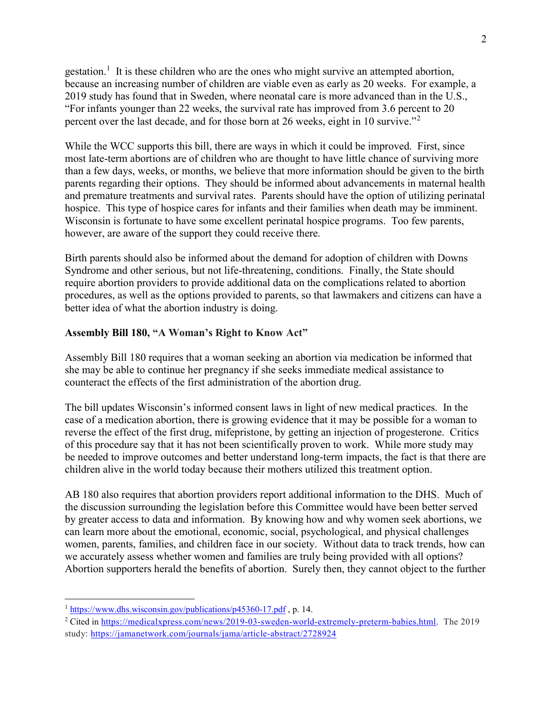gestation.<sup>1</sup> It is these children who are the ones who might survive an attempted abortion, because an increasing number of children are viable even as early as 20 weeks. For example, a 2019 study has found that in Sweden, where neonatal care is more advanced than in the U.S., "For infants younger than 22 weeks, the survival rate has improved from 3.6 percent to 20 percent over the last decade, and for those born at 26 weeks, eight in 10 survive."<sup>2</sup>

While the WCC supports this bill, there are ways in which it could be improved. First, since most late-term abortions are of children who are thought to have little chance of surviving more than a few days, weeks, or months, we believe that more information should be given to the birth parents regarding their options. They should be informed about advancements in maternal health and premature treatments and survival rates. Parents should have the option of utilizing perinatal hospice. This type of hospice cares for infants and their families when death may be imminent. Wisconsin is fortunate to have some excellent perinatal hospice programs. Too few parents, however, are aware of the support they could receive there.

Birth parents should also be informed about the demand for adoption of children with Downs Syndrome and other serious, but not life-threatening, conditions. Finally, the State should require abortion providers to provide additional data on the complications related to abortion procedures, as well as the options provided to parents, so that lawmakers and citizens can have a better idea of what the abortion industry is doing.

#### Assembly Bill 180, "A Woman's Right to Know Act"

Assembly Bill 180 requires that a woman seeking an abortion via medication be informed that she may be able to continue her pregnancy if she seeks immediate medical assistance to counteract the effects of the first administration of the abortion drug.

The bill updates Wisconsin's informed consent laws in light of new medical practices. In the case of a medication abortion, there is growing evidence that it may be possible for a woman to reverse the effect of the first drug, mifepristone, by getting an injection of progesterone. Critics of this procedure say that it has not been scientifically proven to work. While more study may be needed to improve outcomes and better understand long-term impacts, the fact is that there are children alive in the world today because their mothers utilized this treatment option.

AB 180 also requires that abortion providers report additional information to the DHS. Much of the discussion surrounding the legislation before this Committee would have been better served by greater access to data and information. By knowing how and why women seek abortions, we can learn more about the emotional, economic, social, psychological, and physical challenges women, parents, families, and children face in our society. Without data to track trends, how can we accurately assess whether women and families are truly being provided with all options? Abortion supporters herald the benefits of abortion. Surely then, they cannot object to the further

 $\overline{a}$ 

<sup>&</sup>lt;sup>1</sup> https://www.dhs.wisconsin.gov/publications/p45360-17.pdf, p. 14.

<sup>&</sup>lt;sup>2</sup> Cited in https://medicalxpress.com/news/2019-03-sweden-world-extremely-preterm-babies.html. The 2019 study: https://jamanetwork.com/journals/jama/article-abstract/2728924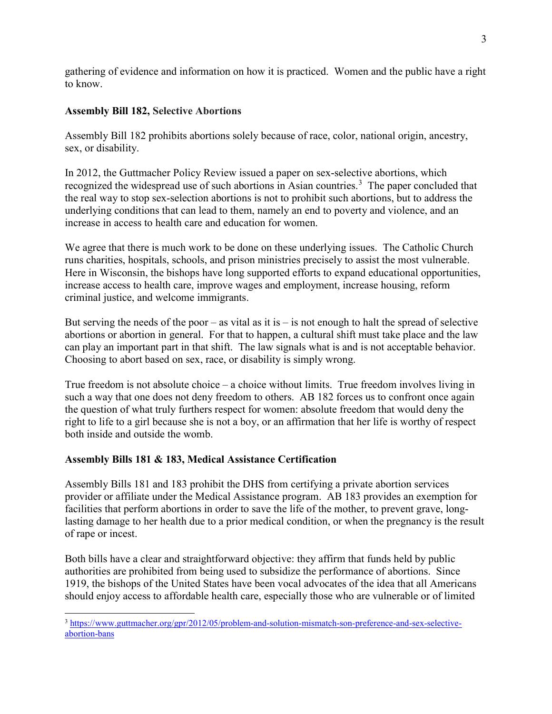gathering of evidence and information on how it is practiced. Women and the public have a right to know.

### Assembly Bill 182, Selective Abortions

Assembly Bill 182 prohibits abortions solely because of race, color, national origin, ancestry, sex, or disability.

In 2012, the Guttmacher Policy Review issued a paper on sex-selective abortions, which recognized the widespread use of such abortions in Asian countries.<sup>3</sup> The paper concluded that the real way to stop sex-selection abortions is not to prohibit such abortions, but to address the underlying conditions that can lead to them, namely an end to poverty and violence, and an increase in access to health care and education for women.

We agree that there is much work to be done on these underlying issues. The Catholic Church runs charities, hospitals, schools, and prison ministries precisely to assist the most vulnerable. Here in Wisconsin, the bishops have long supported efforts to expand educational opportunities, increase access to health care, improve wages and employment, increase housing, reform criminal justice, and welcome immigrants.

But serving the needs of the poor – as vital as it is – is not enough to halt the spread of selective abortions or abortion in general. For that to happen, a cultural shift must take place and the law can play an important part in that shift. The law signals what is and is not acceptable behavior. Choosing to abort based on sex, race, or disability is simply wrong.

True freedom is not absolute choice – a choice without limits. True freedom involves living in such a way that one does not deny freedom to others. AB 182 forces us to confront once again the question of what truly furthers respect for women: absolute freedom that would deny the right to life to a girl because she is not a boy, or an affirmation that her life is worthy of respect both inside and outside the womb.

## Assembly Bills 181 & 183, Medical Assistance Certification

Assembly Bills 181 and 183 prohibit the DHS from certifying a private abortion services provider or affiliate under the Medical Assistance program. AB 183 provides an exemption for facilities that perform abortions in order to save the life of the mother, to prevent grave, longlasting damage to her health due to a prior medical condition, or when the pregnancy is the result of rape or incest.

Both bills have a clear and straightforward objective: they affirm that funds held by public authorities are prohibited from being used to subsidize the performance of abortions. Since 1919, the bishops of the United States have been vocal advocates of the idea that all Americans should enjoy access to affordable health care, especially those who are vulnerable or of limited

 $\overline{a}$ <sup>3</sup> https://www.guttmacher.org/gpr/2012/05/problem-and-solution-mismatch-son-preference-and-sex-selectiveabortion-bans